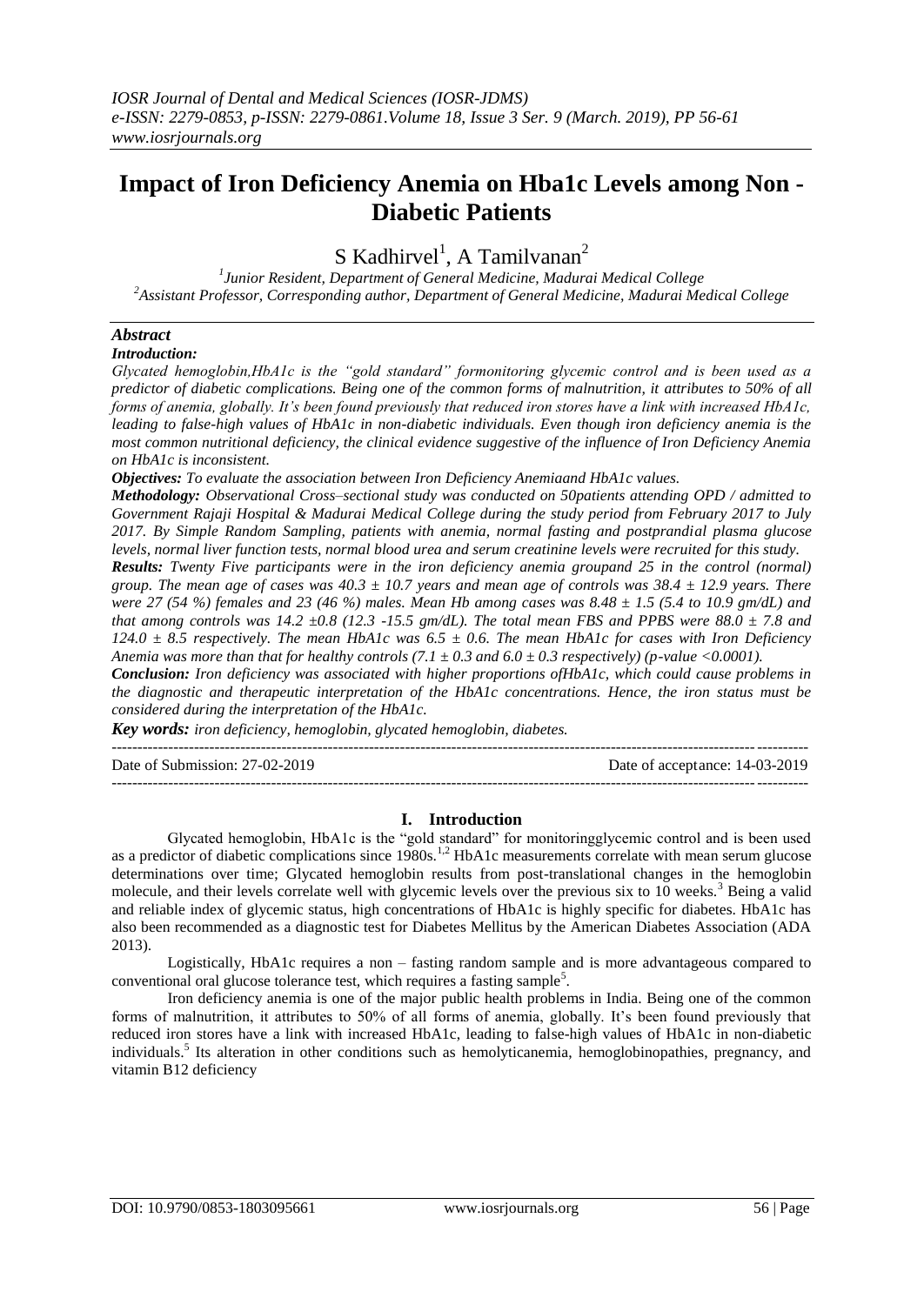# **Impact of Iron Deficiency Anemia on Hba1c Levels among Non - Diabetic Patients**

S Kadhirvel<sup>1</sup>, A Tamilvanan<sup>2</sup>

*1 Junior Resident, Department of General Medicine, Madurai Medical College <sup>2</sup>Assistant Professor, Corresponding author, Department of General Medicine, Madurai Medical College*

## *Abstract*

*Introduction:* 

*Glycated hemoglobin,HbA1c is the "gold standard" formonitoring glycemic control and is been used as a predictor of diabetic complications. Being one of the common forms of malnutrition, it attributes to 50% of all forms of anemia, globally. It's been found previously that reduced iron stores have a link with increased HbA1c, leading to false-high values of HbA1c in non-diabetic individuals. Even though iron deficiency anemia is the most common nutritional deficiency, the clinical evidence suggestive of the influence of Iron Deficiency Anemia on HbA1c is inconsistent.*

*Objectives: To evaluate the association between Iron Deficiency Anemiaand HbA1c values.*

*Methodology: Observational Cross–sectional study was conducted on 50patients attending OPD / admitted to Government Rajaji Hospital & Madurai Medical College during the study period from February 2017 to July 2017. By Simple Random Sampling, patients with anemia, normal fasting and postprandial plasma glucose levels, normal liver function tests, normal blood urea and serum creatinine levels were recruited for this study.*

*Results: Twenty Five participants were in the iron deficiency anemia groupand 25 in the control (normal) group. The mean age of cases was 40.3 ± 10.7 years and mean age of controls was 38.4 ± 12.9 years. There were 27 (54 %) females and 23 (46 %) males. Mean Hb among cases was 8.48 ± 1.5 (5.4 to 10.9 gm/dL) and*  that among controls was 14.2  $\pm$ 0.8 (12.3 -15.5 gm/dL). The total mean FBS and PPBS were 88.0  $\pm$  7.8 and *124.0 ± 8.5 respectively. The mean HbA1c was 6.5 ± 0.6. The mean HbA1c for cases with Iron Deficiency Anemia was more than that for healthy controls (7.1*  $\pm$  *0.3 and 6.0*  $\pm$  *0.3 respectively) (p-value <0.0001).* 

*Conclusion: Iron deficiency was associated with higher proportions ofHbA1c, which could cause problems in the diagnostic and therapeutic interpretation of the HbA1c concentrations. Hence, the iron status must be considered during the interpretation of the HbA1c.*

*Key words: iron deficiency, hemoglobin, glycated hemoglobin, diabetes.*

 $-1.1$ 

Date of Submission: 27-02-2019 Date of acceptance: 14-03-2019  $-1-\frac{1}{2}$ 

## **I. Introduction**

Glycated hemoglobin, HbA1c is the "gold standard" for monitoringglycemic control and is been used as a predictor of diabetic complications since 1980s.<sup>1,2</sup> HbA1c measurements correlate with mean serum glucose determinations over time; Glycated hemoglobin results from post-translational changes in the hemoglobin molecule, and their levels correlate well with glycemic levels over the previous six to 10 weeks.<sup>3</sup> Being a valid and reliable index of glycemic status, high concentrations of HbA1c is highly specific for diabetes. HbA1c has also been recommended as a diagnostic test for Diabetes Mellitus by the American Diabetes Association (ADA 2013).

Logistically, HbA1c requires a non – fasting random sample and is more advantageous compared to conventional oral glucose tolerance test, which requires a fasting sample<sup>5</sup>.

Iron deficiency anemia is one of the major public health problems in India. Being one of the common forms of malnutrition, it attributes to 50% of all forms of anemia, globally. It's been found previously that reduced iron stores have a link with increased HbA1c, leading to false-high values of HbA1c in non-diabetic individuals.<sup>5</sup> Its alteration in other conditions such as hemolyticanemia, hemoglobinopathies, pregnancy, and vitamin B12 deficiency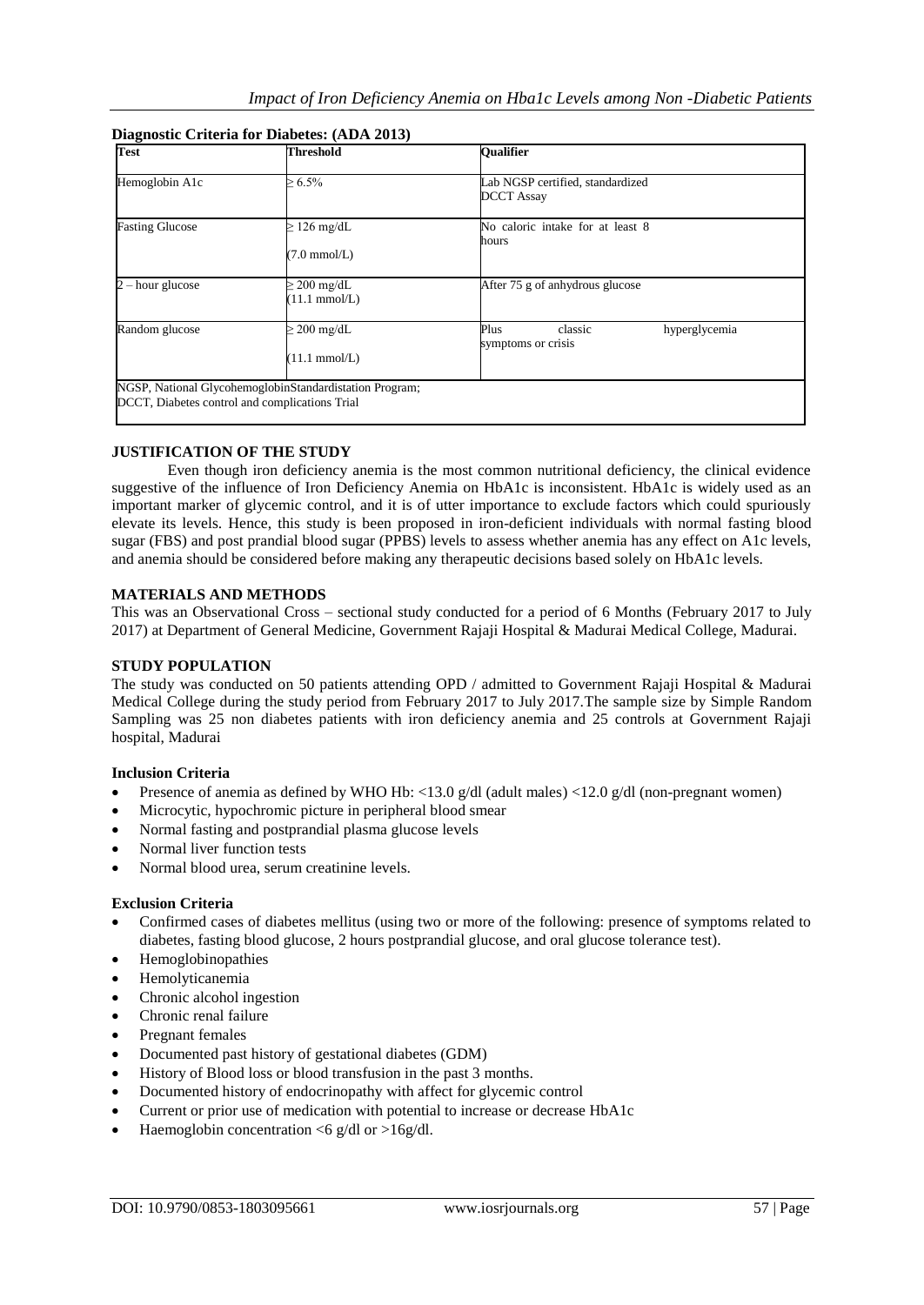| Test                   | <b>Threshold</b>                               | <b>Oualifier</b>                                       |  |
|------------------------|------------------------------------------------|--------------------------------------------------------|--|
| Hemoglobin A1c         | $\ge 6.5\%$                                    | Lab NGSP certified, standardized<br><b>DCCT Assay</b>  |  |
| <b>Fasting Glucose</b> | $\geq$ 126 mg/dL<br>$(7.0 \text{ mmol/L})$     | No caloric intake for at least 8<br>hours              |  |
| $2 - hour$ glucose     | $200 \text{ mg/dL}$<br>$(11.1 \text{ mmol/L})$ | After 75 g of anhydrous glucose                        |  |
| Random glucose         | $\geq$ 200 mg/dL<br>$(11.1 \text{ mmol/L})$    | Plus<br>classic<br>hyperglycemia<br>symptoms or crisis |  |

## **Diagnostic Criteria for Diabetes: (ADA 2013)**

## **JUSTIFICATION OF THE STUDY**

Even though iron deficiency anemia is the most common nutritional deficiency, the clinical evidence suggestive of the influence of Iron Deficiency Anemia on HbA1c is inconsistent. HbA1c is widely used as an important marker of glycemic control, and it is of utter importance to exclude factors which could spuriously elevate its levels. Hence, this study is been proposed in iron-deficient individuals with normal fasting blood sugar (FBS) and post prandial blood sugar (PPBS) levels to assess whether anemia has any effect on A1c levels, and anemia should be considered before making any therapeutic decisions based solely on HbA1c levels.

## **MATERIALS AND METHODS**

This was an Observational Cross – sectional study conducted for a period of 6 Months (February 2017 to July 2017) at Department of General Medicine, Government Rajaji Hospital & Madurai Medical College, Madurai.

## **STUDY POPULATION**

The study was conducted on 50 patients attending OPD / admitted to Government Rajaji Hospital & Madurai Medical College during the study period from February 2017 to July 2017.The sample size by Simple Random Sampling was 25 non diabetes patients with iron deficiency anemia and 25 controls at Government Rajaji hospital, Madurai

## **Inclusion Criteria**

- Presence of anemia as defined by WHO Hb:  $\langle 13.0 \text{ g/d} \rangle$  (adult males)  $\langle 12.0 \text{ g/d} \rangle$  (non-pregnant women)
- Microcytic, hypochromic picture in peripheral blood smear
- Normal fasting and postprandial plasma glucose levels
- Normal liver function tests
- Normal blood urea, serum creatinine levels.

#### **Exclusion Criteria**

- Confirmed cases of diabetes mellitus (using two or more of the following: presence of symptoms related to diabetes, fasting blood glucose, 2 hours postprandial glucose, and oral glucose tolerance test).
- Hemoglobinopathies
- Hemolyticanemia
- Chronic alcohol ingestion
- Chronic renal failure
- Pregnant females
- Documented past history of gestational diabetes (GDM)
- History of Blood loss or blood transfusion in the past 3 months.
- Documented history of endocrinopathy with affect for glycemic control
- Current or prior use of medication with potential to increase or decrease HbA1c
- Haemoglobin concentration  $\langle 6 \text{ g/d} \rangle$  or  $>16 \text{ g/d}$ .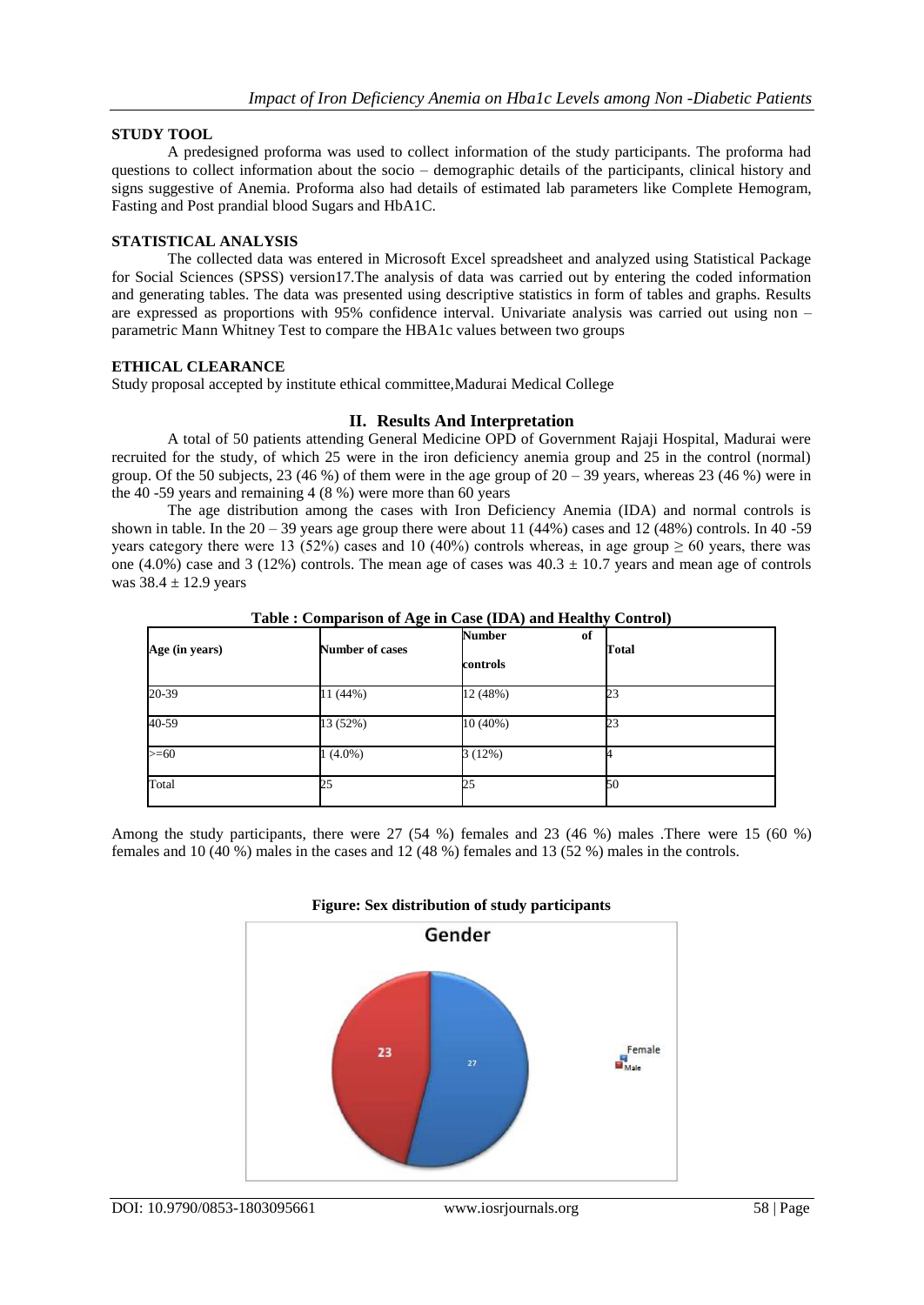## **STUDY TOOL**

A predesigned proforma was used to collect information of the study participants. The proforma had questions to collect information about the socio – demographic details of the participants, clinical history and signs suggestive of Anemia. Proforma also had details of estimated lab parameters like Complete Hemogram, Fasting and Post prandial blood Sugars and HbA1C.

## **STATISTICAL ANALYSIS**

The collected data was entered in Microsoft Excel spreadsheet and analyzed using Statistical Package for Social Sciences (SPSS) version17.The analysis of data was carried out by entering the coded information and generating tables. The data was presented using descriptive statistics in form of tables and graphs. Results are expressed as proportions with 95% confidence interval. Univariate analysis was carried out using non – parametric Mann Whitney Test to compare the HBA1c values between two groups

## **ETHICAL CLEARANCE**

Study proposal accepted by institute ethical committee,Madurai Medical College

## **II. Results And Interpretation**

A total of 50 patients attending General Medicine OPD of Government Rajaji Hospital, Madurai were recruited for the study, of which 25 were in the iron deficiency anemia group and 25 in the control (normal) group. Of the 50 subjects, 23 (46 %) of them were in the age group of  $20 - 39$  years, whereas 23 (46 %) were in the 40 -59 years and remaining 4 (8 %) were more than 60 years

The age distribution among the cases with Iron Deficiency Anemia (IDA) and normal controls is shown in table. In the  $20 - 39$  years age group there were about 11 (44%) cases and 12 (48%) controls. In 40 -59 years category there were 13 (52%) cases and 10 (40%) controls whereas, in age group  $\geq 60$  years, there was one (4.0%) case and 3 (12%) controls. The mean age of cases was  $40.3 \pm 10.7$  years and mean age of controls was  $38.4 \pm 12.9$  years

| Age (in years) | ັ<br><b>Number of cases</b> | <b>Number</b><br>of<br>controls | $\sim$<br>Total |
|----------------|-----------------------------|---------------------------------|-----------------|
| 20-39          | 11 (44%)                    | 12 (48%)                        | 23              |
| 40-59          | 13 (52%)                    | 10 (40%)                        | 23              |
| $>= 60$        | $1(4.0\%)$                  | 3(12%)                          |                 |
| Total          | 25                          | 25                              | 50              |

**Table : Comparison of Age in Case (IDA) and Healthy Control)**

Among the study participants, there were 27 (54 %) females and 23 (46 %) males .There were 15 (60 %) females and 10 (40 %) males in the cases and 12 (48 %) females and 13 (52 %) males in the controls.

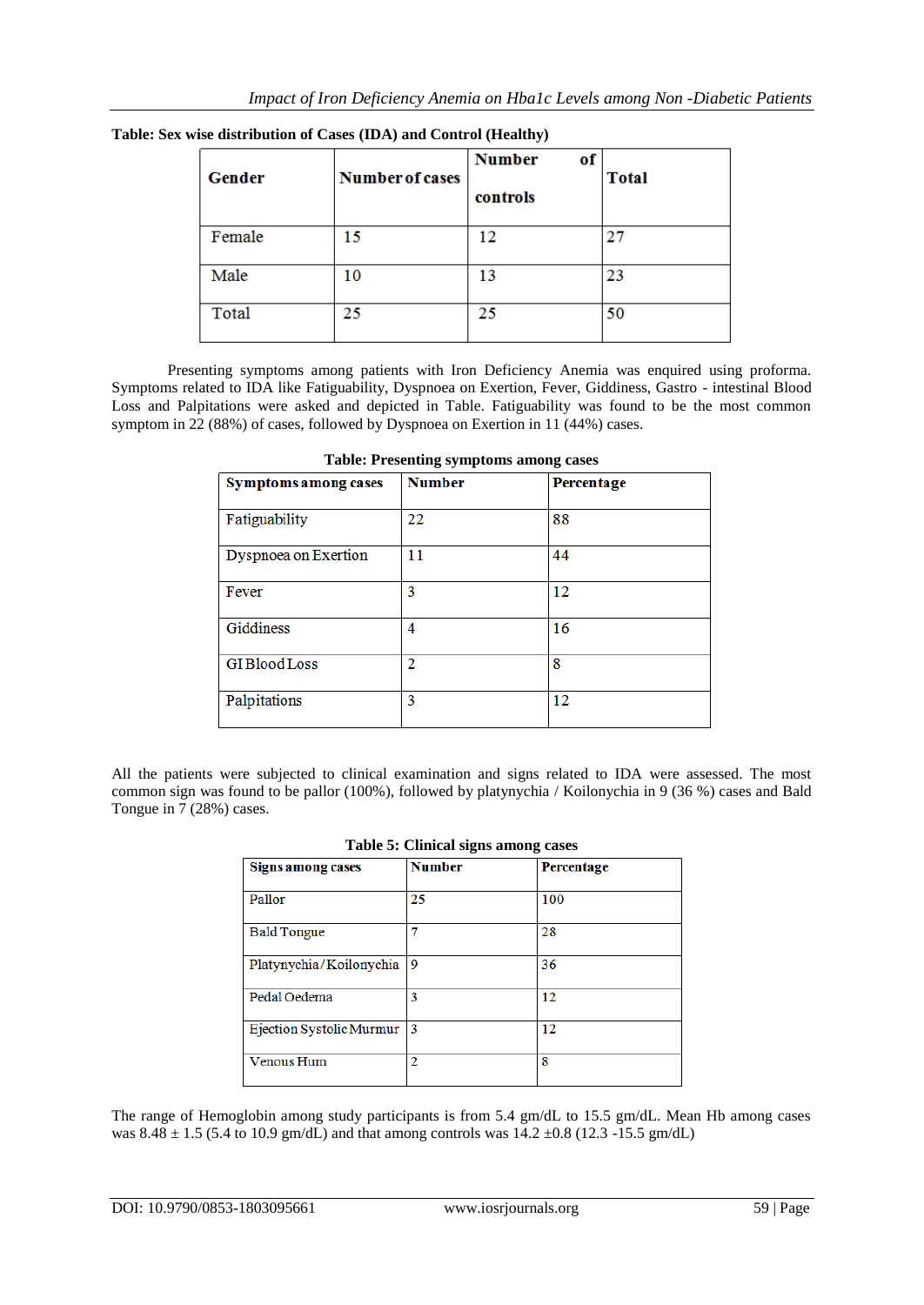| Gender | <b>Number of cases</b> | <b>Number</b><br>оf<br>controls | <b>Total</b> |
|--------|------------------------|---------------------------------|--------------|
| Female | 15                     | 12                              | 27           |
| Male   | 10                     | 13                              | 23           |
| Total  | 25                     | 25                              | 50           |

**Table: Sex wise distribution of Cases (IDA) and Control (Healthy)**

Presenting symptoms among patients with Iron Deficiency Anemia was enquired using proforma. Symptoms related to IDA like Fatiguability, Dyspnoea on Exertion, Fever, Giddiness, Gastro - intestinal Blood Loss and Palpitations were asked and depicted in Table. Fatiguability was found to be the most common symptom in 22 (88%) of cases, followed by Dyspnoea on Exertion in 11 (44%) cases.

| <b>Symptoms among cases</b> | <b>Number</b> | Percentage |
|-----------------------------|---------------|------------|
| Fatiguability               | 22            | 88         |
| Dyspnoea on Exertion        | 11            | 44         |
| Fever                       | 3             | 12         |
| Giddiness                   | 4             | 16         |
| <b>GIBloodLoss</b>          | 2             | 8          |
| Palpitations                | 3             | 12         |

**Table: Presenting symptoms among cases**

All the patients were subjected to clinical examination and signs related to IDA were assessed. The most common sign was found to be pallor (100%), followed by platynychia / Koilonychia in 9 (36 %) cases and Bald Tongue in 7 (28%) cases.

| $\sim$ . $\sim$ . $\sim$ . $\sim$ . $\sim$ . $\sim$ . $\sim$ . $\sim$ . $\sim$ . $\sim$ . $\sim$ . $\sim$ |               |                   |  |
|-----------------------------------------------------------------------------------------------------------|---------------|-------------------|--|
| <b>Signs among cases</b>                                                                                  | <b>Number</b> | <b>Percentage</b> |  |
| Pallor                                                                                                    | 25            | 100               |  |
| <b>Bald Tongue</b>                                                                                        |               | 28                |  |
| Platynychia/Koilonychia                                                                                   | 9             | 36                |  |
| Pedal Oedema                                                                                              | 3             | 12                |  |
| Ejection Systolic Murmur                                                                                  | 13            | 12                |  |
| Venous Hum                                                                                                | 2             | 8                 |  |

|  |  |  | Table 5: Clinical signs among cases |
|--|--|--|-------------------------------------|
|--|--|--|-------------------------------------|

The range of Hemoglobin among study participants is from 5.4 gm/dL to 15.5 gm/dL. Mean Hb among cases was  $8.48 \pm 1.5$  (5.4 to 10.9 gm/dL) and that among controls was  $14.2 \pm 0.8$  (12.3 -15.5 gm/dL)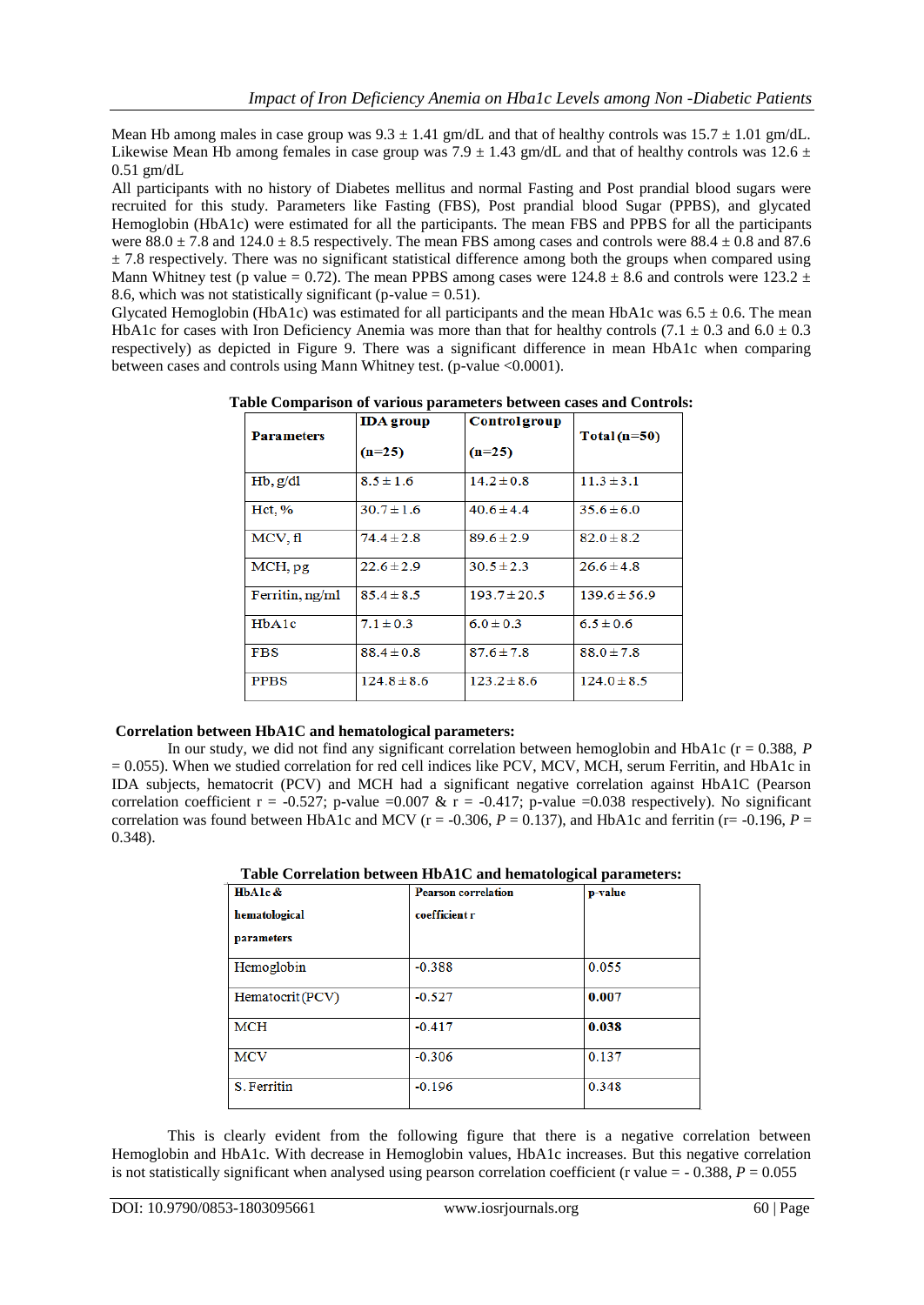Mean Hb among males in case group was  $9.3 \pm 1.41$  gm/dL and that of healthy controls was  $15.7 \pm 1.01$  gm/dL. Likewise Mean Hb among females in case group was  $7.9 \pm 1.43$  gm/dL and that of healthy controls was  $12.6 \pm 1.43$ 0.51 gm/dL

All participants with no history of Diabetes mellitus and normal Fasting and Post prandial blood sugars were recruited for this study. Parameters like Fasting (FBS), Post prandial blood Sugar (PPBS), and glycated Hemoglobin (HbA1c) were estimated for all the participants. The mean FBS and PPBS for all the participants were  $88.0 \pm 7.8$  and  $124.0 \pm 8.5$  respectively. The mean FBS among cases and controls were  $88.4 \pm 0.8$  and 87.6  $\pm$  7.8 respectively. There was no significant statistical difference among both the groups when compared using Mann Whitney test (p value = 0.72). The mean PPBS among cases were  $124.8 \pm 8.6$  and controls were  $123.2 \pm 1.6$ 8.6, which was not statistically significant (p-value  $= 0.51$ ).

Glycated Hemoglobin (HbA1c) was estimated for all participants and the mean HbA1c was  $6.5 \pm 0.6$ . The mean HbA1c for cases with Iron Deficiency Anemia was more than that for healthy controls (7.1  $\pm$  0.3 and 6.0  $\pm$  0.3 respectively) as depicted in Figure 9. There was a significant difference in mean HbA1c when comparing between cases and controls using Mann Whitney test. (p-value <0.0001).

| <b>Parameters</b> | <b>IDA</b> group | <b>Control group</b> | $Total(n=50)$    |
|-------------------|------------------|----------------------|------------------|
|                   | $(n=25)$         | $(n=25)$             |                  |
| Hb, g/dl          | $8.5 \pm 1.6$    | $14.2 \pm 0.8$       | $11.3 \pm 3.1$   |
| $Hct, \%$         | $30.7 \pm 1.6$   | $40.6 \pm 4.4$       | $35.6 \pm 6.0$   |
| MCV, fl           | $74.4 \pm 2.8$   | $89.6 \pm 2.9$       | $82.0 \pm 8.2$   |
| MCH, pg           | $22.6 \pm 2.9$   | $30.5 \pm 2.3$       | $26.6 \pm 4.8$   |
| Ferritin, ng/ml   | $85.4 \pm 8.5$   | $193.7 \pm 20.5$     | $139.6 \pm 56.9$ |
| HbA1c             | $7.1 \pm 0.3$    | $6.0 \pm 0.3$        | $6.5 \pm 0.6$    |
| <b>FBS</b>        | $88.4 \pm 0.8$   | $87.6 \pm 7.8$       | $88.0 \pm 7.8$   |
| <b>PPBS</b>       | $124.8 \pm 8.6$  | $123.2 \pm 8.6$      | $124.0 \pm 8.5$  |

**Table Comparison of various parameters between cases and Controls:**

## **Correlation between HbA1C and hematological parameters:**

In our study, we did not find any significant correlation between hemoglobin and HbA1c (r = 0.388, *P* = 0.055). When we studied correlation for red cell indices like PCV, MCV, MCH, serum Ferritin, and HbA1c in IDA subjects, hematocrit (PCV) and MCH had a significant negative correlation against HbA1C (Pearson correlation coefficient r = -0.527; p-value =0.007 & r = -0.417; p-value =0.038 respectively). No significant correlation was found between HbA1c and MCV ( $r = -0.306$ ,  $P = 0.137$ ), and HbA1c and ferritin ( $r = -0.196$ ,  $P =$ 0.348).

| HbAlc&           | <b>Pearson correlation</b> | p-value |
|------------------|----------------------------|---------|
| hematological    | coefficient r              |         |
| parameters       |                            |         |
| Hemoglobin       | $-0.388$                   | 0.055   |
| Hematocrit (PCV) | $-0.527$                   | 0.007   |
| <b>MCH</b>       | $-0.417$                   | 0.038   |
| <b>MCV</b>       | $-0.306$                   | 0.137   |
| S. Ferritin      | $-0.196$                   | 0.348   |

**Table Correlation between HbA1C and hematological parameters:**

This is clearly evident from the following figure that there is a negative correlation between Hemoglobin and HbA1c. With decrease in Hemoglobin values, HbA1c increases. But this negative correlation is not statistically significant when analysed using pearson correlation coefficient (r value  $= -0.388$ ,  $P = 0.055$ )